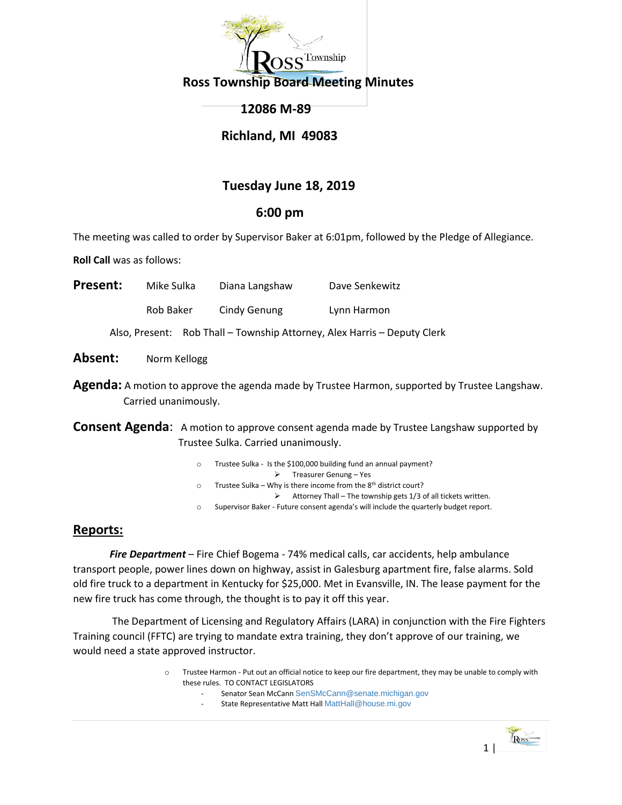

## **12086 M-89**

## **Richland, MI 49083**

# **Tuesday June 18, 2019**

## **6:00 pm**

The meeting was called to order by Supervisor Baker at 6:01pm, followed by the Pledge of Allegiance.

**Roll Call** was as follows:

| <b>Present:</b> |           | Mike Sulka | Diana Langshaw | Dave Senkewitz                                                           |
|-----------------|-----------|------------|----------------|--------------------------------------------------------------------------|
|                 | Rob Baker |            | Cindy Genung   | Lynn Harmon                                                              |
|                 |           |            |                | Also, Present: Rob Thall - Township Attorney, Alex Harris - Deputy Clerk |

Absent: Norm Kellogg

**Agenda:** A motion to approve the agenda made by Trustee Harmon, supported by Trustee Langshaw. Carried unanimously.

**Consent Agenda**: A motion to approve consent agenda made by Trustee Langshaw supported by Trustee Sulka. Carried unanimously.

- Trustee Sulka Is the \$100,000 building fund an annual payment?
	- Treasurer Genung Yes
- $\circ$  Trustee Sulka Why is there income from the 8<sup>th</sup> district court?
	- $\triangleright$  Attorney Thall The township gets 1/3 of all tickets written.
- o Supervisor Baker Future consent agenda's will include the quarterly budget report.

## **Reports:**

*Fire Department* – Fire Chief Bogema - 74% medical calls, car accidents, help ambulance transport people, power lines down on highway, assist in Galesburg apartment fire, false alarms. Sold old fire truck to a department in Kentucky for \$25,000. Met in Evansville, IN. The lease payment for the new fire truck has come through, the thought is to pay it off this year.

The Department of Licensing and Regulatory Affairs (LARA) in conjunction with the Fire Fighters Training council (FFTC) are trying to mandate extra training, they don't approve of our training, we would need a state approved instructor.

- o Trustee Harmon Put out an official notice to keep our fire department, they may be unable to comply with these rules. TO CONTACT LEGISLATORS
	- Senator Sean McCann [SenSMcCann@senate.michigan.gov](mailto:SenSMcCann@senate.michigan.gov)
	- State Representative Matt Hall [MattHall@house.mi.gov](mailto:MattHall@house.mi.gov)

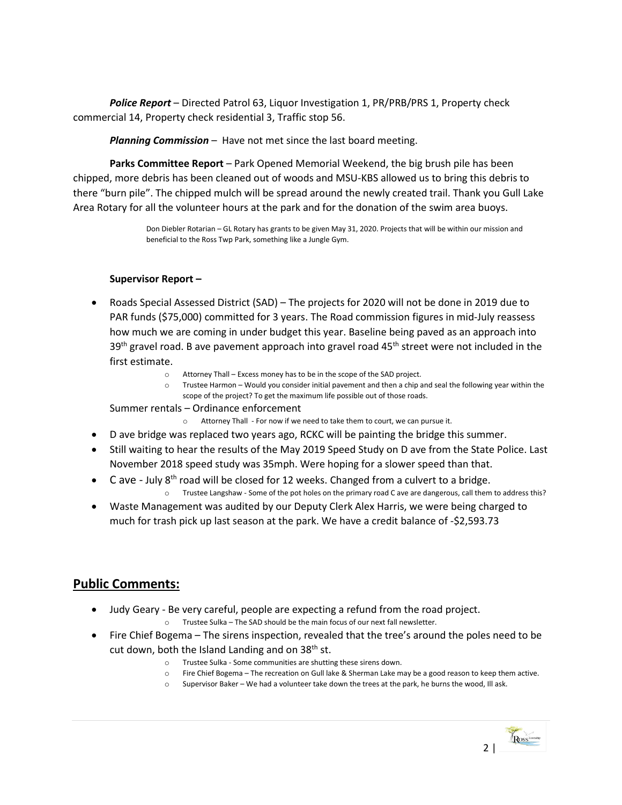*Police Report* – Directed Patrol 63, Liquor Investigation 1, PR/PRB/PRS 1, Property check commercial 14, Property check residential 3, Traffic stop 56.

*Planning Commission* – Have not met since the last board meeting.

**Parks Committee Report** – Park Opened Memorial Weekend, the big brush pile has been chipped, more debris has been cleaned out of woods and MSU-KBS allowed us to bring this debris to there "burn pile". The chipped mulch will be spread around the newly created trail. Thank you Gull Lake Area Rotary for all the volunteer hours at the park and for the donation of the swim area buoys.

> Don Diebler Rotarian – GL Rotary has grants to be given May 31, 2020. Projects that will be within our mission and beneficial to the Ross Twp Park, something like a Jungle Gym.

### **Supervisor Report –**

- Roads Special Assessed District (SAD) The projects for 2020 will not be done in 2019 due to PAR funds (\$75,000) committed for 3 years. The Road commission figures in mid-July reassess how much we are coming in under budget this year. Baseline being paved as an approach into  $39<sup>th</sup>$  gravel road. B ave pavement approach into gravel road  $45<sup>th</sup>$  street were not included in the first estimate.
	- Attorney Thall Excess money has to be in the scope of the SAD project.
	- o Trustee Harmon Would you consider initial pavement and then a chip and seal the following year within the scope of the project? To get the maximum life possible out of those roads.

Summer rentals – Ordinance enforcement

- o Attorney Thall For now if we need to take them to court, we can pursue it.
- D ave bridge was replaced two years ago, RCKC will be painting the bridge this summer.
- Still waiting to hear the results of the May 2019 Speed Study on D ave from the State Police. Last November 2018 speed study was 35mph. Were hoping for a slower speed than that.
- $\bullet$  C ave July 8<sup>th</sup> road will be closed for 12 weeks. Changed from a culvert to a bridge.
	- o Trustee Langshaw Some of the pot holes on the primary road C ave are dangerous, call them to address this?
- Waste Management was audited by our Deputy Clerk Alex Harris, we were being charged to much for trash pick up last season at the park. We have a credit balance of -\$2,593.73

## **Public Comments:**

- Judy Geary Be very careful, people are expecting a refund from the road project. o Trustee Sulka – The SAD should be the main focus of our next fall newsletter.
- Fire Chief Bogema The sirens inspection, revealed that the tree's around the poles need to be cut down, both the Island Landing and on  $38<sup>th</sup>$  st.
	- o Trustee Sulka Some communities are shutting these sirens down.
	- o Fire Chief Bogema The recreation on Gull lake & Sherman Lake may be a good reason to keep them active.
	- o Supervisor Baker We had a volunteer take down the trees at the park, he burns the wood, Ill ask.

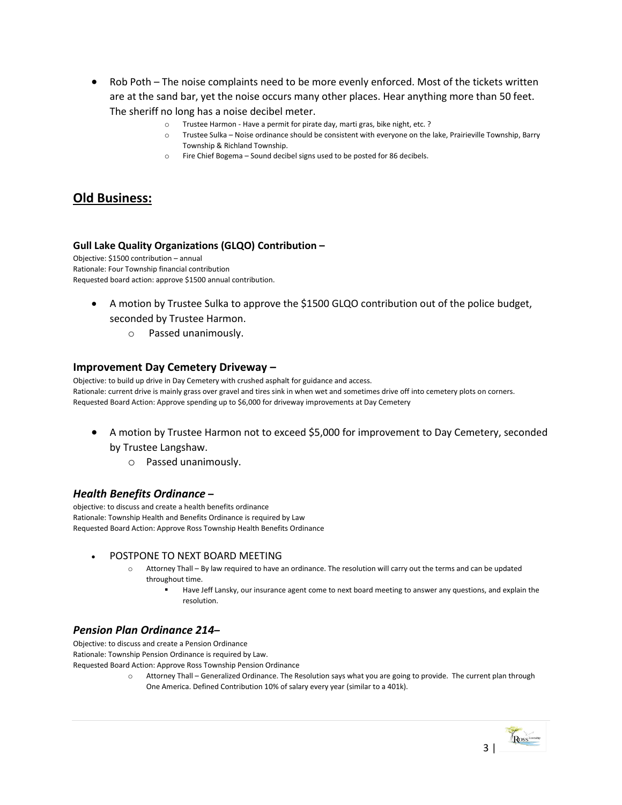- Rob Poth The noise complaints need to be more evenly enforced. Most of the tickets written are at the sand bar, yet the noise occurs many other places. Hear anything more than 50 feet. The sheriff no long has a noise decibel meter.
	- o Trustee Harmon Have a permit for pirate day, marti gras, bike night, etc. ?
	- o Trustee Sulka Noise ordinance should be consistent with everyone on the lake, Prairieville Township, Barry Township & Richland Township.
	- o Fire Chief Bogema Sound decibel signs used to be posted for 86 decibels.

## **Old Business:**

#### **Gull Lake Quality Organizations (GLQO) Contribution –**

Objective: \$1500 contribution – annual Rationale: Four Township financial contribution Requested board action: approve \$1500 annual contribution.

- A motion by Trustee Sulka to approve the \$1500 GLQO contribution out of the police budget, seconded by Trustee Harmon.
	- o Passed unanimously.

#### **Improvement Day Cemetery Driveway –**

Objective: to build up drive in Day Cemetery with crushed asphalt for guidance and access. Rationale: current drive is mainly grass over gravel and tires sink in when wet and sometimes drive off into cemetery plots on corners. Requested Board Action: Approve spending up to \$6,000 for driveway improvements at Day Cemetery

- A motion by Trustee Harmon not to exceed \$5,000 for improvement to Day Cemetery, seconded by Trustee Langshaw.
	- o Passed unanimously.

### *Health Benefits Ordinance* **–**

objective: to discuss and create a health benefits ordinance Rationale: Township Health and Benefits Ordinance is required by Law Requested Board Action: Approve Ross Township Health Benefits Ordinance

#### POSTPONE TO NEXT BOARD MEETING

- o Attorney Thall By law required to have an ordinance. The resolution will carry out the terms and can be updated throughout time.
	- Have Jeff Lansky, our insurance agent come to next board meeting to answer any questions, and explain the resolution.

### *Pension Plan Ordinance 214–*

Objective: to discuss and create a Pension Ordinance Rationale: Township Pension Ordinance is required by Law. Requested Board Action: Approve Ross Township Pension Ordinance

> o Attorney Thall – Generalized Ordinance. The Resolution says what you are going to provide. The current plan through One America. Defined Contribution 10% of salary every year (similar to a 401k).

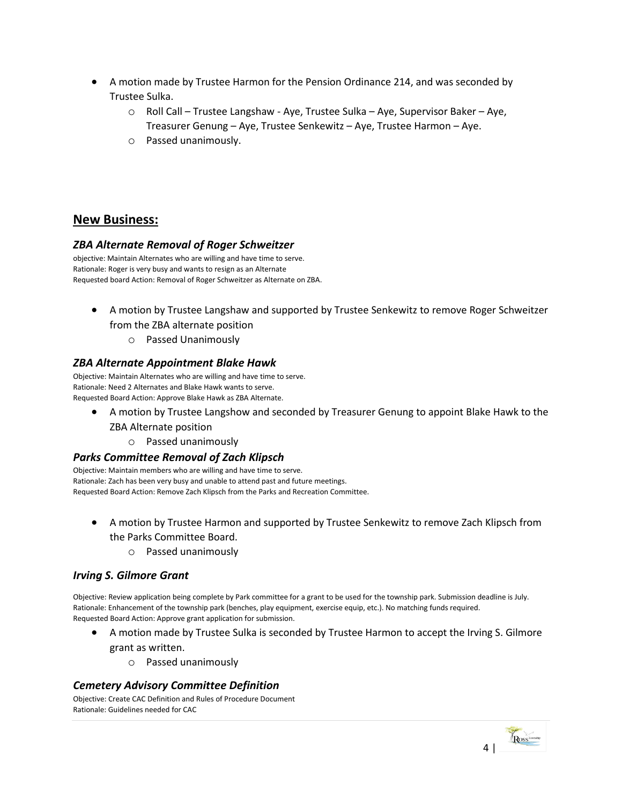- A motion made by Trustee Harmon for the Pension Ordinance 214, and was seconded by Trustee Sulka.
	- o Roll Call Trustee Langshaw Aye, Trustee Sulka Aye, Supervisor Baker Aye, Treasurer Genung – Aye, Trustee Senkewitz – Aye, Trustee Harmon – Aye.
	- o Passed unanimously.

# **New Business:**

### *ZBA Alternate Removal of Roger Schweitzer*

objective: Maintain Alternates who are willing and have time to serve. Rationale: Roger is very busy and wants to resign as an Alternate Requested board Action: Removal of Roger Schweitzer as Alternate on ZBA.

- A motion by Trustee Langshaw and supported by Trustee Senkewitz to remove Roger Schweitzer from the ZBA alternate position
	- o Passed Unanimously

## *ZBA Alternate Appointment Blake Hawk*

Objective: Maintain Alternates who are willing and have time to serve. Rationale: Need 2 Alternates and Blake Hawk wants to serve. Requested Board Action: Approve Blake Hawk as ZBA Alternate.

- A motion by Trustee Langshow and seconded by Treasurer Genung to appoint Blake Hawk to the ZBA Alternate position
	- o Passed unanimously

### *Parks Committee Removal of Zach Klipsch*

Objective: Maintain members who are willing and have time to serve. Rationale: Zach has been very busy and unable to attend past and future meetings. Requested Board Action: Remove Zach Klipsch from the Parks and Recreation Committee.

- A motion by Trustee Harmon and supported by Trustee Senkewitz to remove Zach Klipsch from the Parks Committee Board.
	- o Passed unanimously

## *Irving S. Gilmore Grant*

Objective: Review application being complete by Park committee for a grant to be used for the township park. Submission deadline is July. Rationale: Enhancement of the township park (benches, play equipment, exercise equip, etc.). No matching funds required. Requested Board Action: Approve grant application for submission.

- A motion made by Trustee Sulka is seconded by Trustee Harmon to accept the Irving S. Gilmore grant as written.
	- o Passed unanimously

### *Cemetery Advisory Committee Definition*

Objective: Create CAC Definition and Rules of Procedure Document Rationale: Guidelines needed for CAC

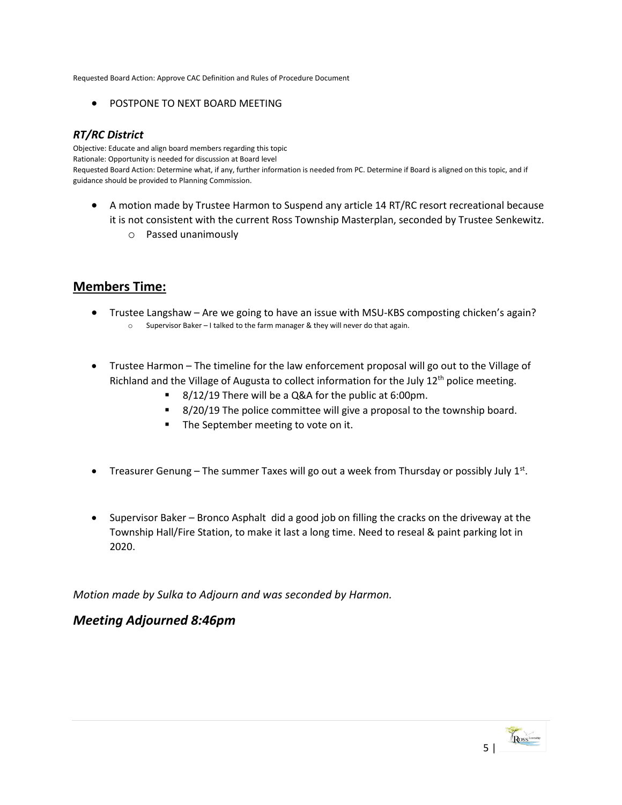Requested Board Action: Approve CAC Definition and Rules of Procedure Document

**• POSTPONE TO NEXT BOARD MEETING** 

### *RT/RC District*

Objective: Educate and align board members regarding this topic Rationale: Opportunity is needed for discussion at Board level Requested Board Action: Determine what, if any, further information is needed from PC. Determine if Board is aligned on this topic, and if guidance should be provided to Planning Commission.

- A motion made by Trustee Harmon to Suspend any article 14 RT/RC resort recreational because it is not consistent with the current Ross Township Masterplan, seconded by Trustee Senkewitz.
	- o Passed unanimously

# **Members Time:**

- Trustee Langshaw Are we going to have an issue with MSU-KBS composting chicken's again? o Supervisor Baker – I talked to the farm manager & they will never do that again.
- Trustee Harmon The timeline for the law enforcement proposal will go out to the Village of Richland and the Village of Augusta to collect information for the July  $12<sup>th</sup>$  police meeting.
	- 8/12/19 There will be a Q&A for the public at 6:00pm.
	- 8/20/19 The police committee will give a proposal to the township board.
	- **The September meeting to vote on it.**
- Treasurer Genung The summer Taxes will go out a week from Thursday or possibly July  $1<sup>st</sup>$ .
- Supervisor Baker Bronco Asphalt did a good job on filling the cracks on the driveway at the Township Hall/Fire Station, to make it last a long time. Need to reseal & paint parking lot in 2020.

*Motion made by Sulka to Adjourn and was seconded by Harmon.* 

## *Meeting Adjourned 8:46pm*